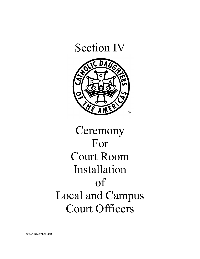

# **Ceremony** For Court Room Installation of Local and Campus Court Officers

Revised December 2018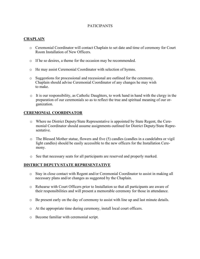# PATICIPANTS

# **CHAPLAIN**

- o Ceremonial Coordinator will contact Chaplain to set date and time of ceremony for Court Room Installation of New Officers.
- o If he so desires, a theme for the occasion may be recommended.
- o He may assist Ceremonial Coordinator with selection of hymns.
- o Suggestions for processional and recessional are outlined for the ceremony. Chaplain should advise Ceremonial Coordinator of any changes he may wish to make.
- o It is our responsibility, as Catholic Daughters, to work hand in hand with the clergy in the preparation of our ceremonials so as to reflect the true and spiritual meaning of our organization.

# **CEREMONIAL COORDINATOR**

- o Where no District Deputy/State Representative is appointed by State Regent, the Ceremonial Coordinator should assume assignments outlined for District Deputy/State Representative.
- o The Blessed Mother statue, flowers and five (5) candles (candles in a candelabra or vigil light candles) should be easily accessible to the new officers for the Installation Ceremony.
- o See that necessary seats for all participants are reserved and properly marked.

# **DISTRICT DEPUTY/STATE REPRESENTATIVE**

- o Stay in close contact with Regent and/or Ceremonial Coordinator to assist in making all necessary plans and/or changes as suggested by the Chaplain.
- o Rehearse with Court Officers prior to Installation so that all participants are aware of their responsibilities and will present a memorable ceremony for those in attendance.
- o Be present early on the day of ceremony to assist with line up and last minute details.
- o At the appropriate time during ceremony, install local court officers.
- o Become familiar with ceremonial script.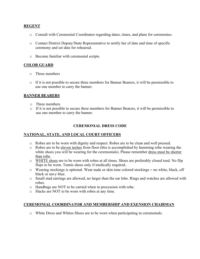# **REGENT**

- o Consult with Ceremonial Coordinator regarding dates, times, and plans for ceremonies.
- o Contact District Deputy/State Representative to notify her of date and time of specific ceremony and set date for rehearsal.
- o Become familiar with ceremonial scripts.

# **COLOR GUARD**

- o Three members
- o If it is not possible to secure three members for Banner Bearers, it will be permissible to use one member to carry the banner.

# **BANNER BEARERS**

- o Three members
- $\circ$  If it is not possible to secure three members for Banner Bearers, it will be permissible to use one member to carry the banner.

# **CEREMONIAL DRESS CODE**

#### **NATIONAL, STATE, AND LOCAL COURT OFFICERS**

- o Robes are to be worn with dignity and respect. Robes are to be clean and well pressed.
- o Robes are to be eleven inches from floor (this is accomplished by hemming robe wearing the white shoes you will be wearing for the ceremonials). Please remember dress must be shorter than robe.
- o WHITE shoes are to be worn with robes at all times. Shoes are preferably closed toed. No flip flops to be worn. Tennis shoes only if medically required..
- o Wearing stockings is optional. Wear nude or skin tone colored stockings no white, black, off black or navy blue.
- o Small stud earrings are allowed, no larger than the ear lobe. Rings and watches are allowed with robes.
- o Handbags are NOT to be carried when in procession with robe.
- o Slacks are NOT to be worn with robes at any time.

#### **CEREMONIAL COORDINATOR AND MEMBERSHIP AND EXENSION CHAIRMAN**

o White Dress and Whites Shoes are to be worn when participating in ceremonials.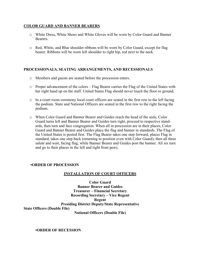# **COLOR GUARD AND BANNER BEARERS**

- o White Dress, White Shoes and White Gloves will be worn by Color Guard and Banner Bearers.
- o Red, White, and Blue shoulder ribbons will be worn by Color Guard, except for flag bearer. Ribbons will be worn left shoulder to right hip, red next to the neck.

# **PROCESSIONALS, SEATING ARRANGEMENTS, AND RECESSIONALS**

- o Members and guests are seated before the procession enters.
- o Proper advancement of the colors Flag Bearer carries the Flag of the United States with her right hand up on the staff. United States Flag should never touch the floor or ground.
- o In a court room ceremony local court officers are seated in the first row to the left facing the podium. State and National Officers are seated in the first row to the right facing the podium.
- o When Color Guard and Banner Bearer and Guides reach the head of the aisle, Color Guard turns left and Banner Bearer and Guides turn right, proceed to respective standards, then turn and face congregation. When all in procession are in their places, Color Guard and Banner Bearer and Guides place the flag and banner in standards. The Flag of the United States is posted first. The Flag Bearer takes one step forward, places Flag in standard, takes one step back (returning to position even with Color Guard), then all three salute and wait, facing flag, while Banner Bearer and Guides post the banner. All six turn and go to their places in the left and right front pews.

#### **•ORDER OF PROCESSION**

#### **INSTALLATION OF COURT OFFICERS**

**Color Guard Banner Bearer and Guides Treasurer – Financial Secretary Recording Secretary – Vice Regent Regent Presiding District Deputy/State Representative State Officers (Double File) National Officers (Double File)**

**•ORDER OF RECESSION**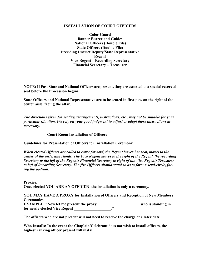# **INSTALLATION OF COURT OFFICERS**

**Color Guard Banner Bearer and Guides National Officers (Double File) State Officers (Double File) Presiding District Deputy/State Representative Regent Vice-Regent – Recording Secretary Financial Secretary – Treasurer**

**NOTE: If Past State and National Officers are present, they are escorted to a special reserved seat before the Procession begins.**

**State Officers and National Representative are to be seated in first pew on the right of the center aisle, facing the altar.**

*The directions given for seating arrangements, instructions, etc., may not be suitable for your particular situation. We rely on your good judgment to adjust or adapt these instructions as necessary.*

**Court Room Installation of Officers**

#### **Guidelines for Presentation of Officers for Installation Ceremony**

*When elected Officers are called to come forward, the Regent leaves her seat, moves to the center of the aisle, and stands. The Vice Regent moves to the right of the Regent, the recording Secretary to the left of the Regent; Financial Secretary to right of the Vice Regent; Treasurer to left of Recording Secretary. The five Officers should stand so as to form a semi-circle, facing the podium.*

**Proxies: Once elected YOU ARE AN OFFICER- the installation is only a ceremony.**

**YOU MAY HAVE A PROXY for Installation of Officers and Reception of New Members Ceremonies. EXAMPLE: "Now let me present the proxy\_\_\_\_\_\_\_\_\_\_\_\_\_\_\_\_\_\_\_\_\_\_ who is standing in for newly elected Vice Regent \_\_\_\_\_\_\_\_\_\_\_\_\_\_\_\_\_\_\_."**

**The officers who are not present will not need to receive the charge at a later date.**

**Who Installs: In the event the Chaplain/Celebrant does not wish to install officers, the highest ranking officer present will install.**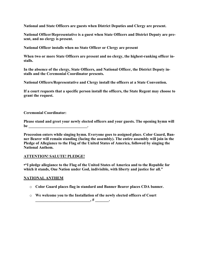**National and State Officers are guests when District Deputies and Clergy are present.**

**National Officer/Representative is a guest when State Officers and District Deputy are present, and no clergy is present.**

**National Officer installs when no State Officer or Clergy are present**

**When two or more State Officers are present and no clergy, the highest-ranking officer installs.**

**In the absence of the clergy, State Officers, and National Officer, the District Deputy installs and the Ceremonial Coordinator presents.**

**National Officers/Representative and Clergy install the officers at a State Convention.**

**If a court requests that a specific person install the officers, the State Regent may choose to grant the request.** 

**Ceremonial Coordinator:**

**Please stand and greet your newly elected officers and your guests. The opening hymn will be \_\_\_\_\_\_\_\_\_\_\_\_\_\_\_\_\_\_\_\_\_\_\_\_\_\_\_\_\_\_.** 

**Procession enters while singing hymn. Everyone goes to assigned place. Color Guard, Banner Bearer will remain standing (facing the assembly). The entire assembly will join in the Pledge of Allegiance to the Flag of the United States of America, followed by singing the National Anthem.**

# **ATTENTION! SALUTE! PLEDGE!**

**•"I pledge allegiance to the Flag of the United States of America and to the Republic for which it stands, One Nation under God, indivisible, with liberty and justice for all."**

# **NATIONAL ANTHEM**

- o **Color Guard places flag in standard and Banner Bearer places CDA banner.**
- o **We welcome you to the Installation of the newly elected officers of Court \_\_\_\_\_\_\_\_\_\_\_\_\_\_\_\_\_\_\_\_\_\_\_\_\_\_\_\_, # \_\_\_\_\_\_\_.**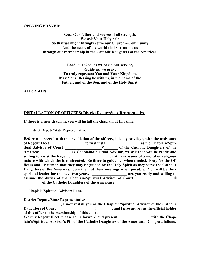#### **OPENING PRAYER:**

**God, Our father and source of all strength, We ask Your Holy help So that we might fittingly serve our Church – Community And the needs of the world that surrounds us through our membership in the Catholic Daughters of the Americas.**

> **Lord, our God, as we begin our service, Guide us, we pray, To truly represent You and Your Kingdom. May Your Blessing be with us, in the name of the Father, and of the Son, and of the Holy Spirit.**

**ALL: AMEN**

#### **INSTALLATION OF OFFICERS: District Deputy/State Representative**

**If there is a new chaplain, you will install the chaplain at this time.** 

District Deputy/State Representative

**Before we proceed with the installation of the officers, it is my privilege, with the assistance of Regent Elect \_\_\_\_\_\_\_\_\_\_\_\_\_\_\_\_\_, to first install \_\_\_\_\_\_\_\_\_\_\_\_\_\_\_\_ as the Chaplain/Spiritual Advisor of Court \_\_\_\_\_\_\_\_\_\_\_\_\_\_\_\_\_\_\_#\_\_\_\_\_\_\_ of the Catholic Daughters of the Americas. \_\_\_\_\_\_\_\_\_\_\_\_\_\_, as Chaplain/Spiritual Advisor, we ask that you be ready and willing to assist the Regent, \_\_\_\_\_\_\_\_\_\_\_\_\_\_\_\_\_\_\_\_, with any issues of a moral or religious nature with which she is confronted. Be there to guide her when needed. Pray for the Officers and Chairman that they may be guided by the Holy Spirit as they serve the Catholic Daughters of the Americas. Join them at their meetings when possible. You will be their spiritual leader for the next two years. \_\_\_\_\_\_\_\_\_\_\_\_\_\_\_\_\_\_ are you ready and willing to assume the duties of the Chaplain/Spiritual Advisor of Court \_\_\_\_\_\_\_\_\_\_\_\_\_\_\_\_\_\_\_ # \_\_\_\_\_\_\_\_\_ of the Catholic Daughters of the Americas?**

Chaplain/Spiritual Advisor**: I am.**

**District Deputy/State Representative**

**\_\_\_\_\_\_\_\_\_\_\_\_\_\_\_\_\_\_\_, I now install you as the Chaplain/Spiritual Advisor of the Catholic Daughters of Court \_\_\_\_\_\_\_\_\_\_\_\_\_\_\_\_\_\_\_ #\_\_\_\_\_\_\_\_, and I present you asthe official holder of this office to the membership of this court. Worthy Regent Elect, please come forward and present \_\_\_\_\_\_\_\_\_\_\_\_\_\_\_\_ with the Chaplain's/Spiritual Advisor's Pin of the Catholic Daughters of the Americas. Congratulations.**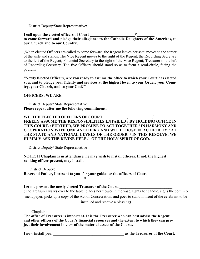District Deputy/State Representative**:**

#### **I call upon the elected officers of Court \_\_\_\_\_\_\_\_\_\_\_\_\_\_\_\_\_\_\_\_\_\_\_#\_\_\_\_\_\_\_\_\_ to come forward and pledge their allegiance to the Catholic Daughters of the Americas, to our Church and to our Country.**

(When elected Officers are called to come forward, the Regent leaves her seat, moves to the center of the aisle and stands. The Vice Regent moves to the right of the Regent, the Recording Secretary to the left of the Regent; Financial Secretary to the right of the Vice Regent; Treasurer to the left of Recording Secretary. The five Officers should stand so as to form a semi-circle, facing the podium.

**"Newly Elected Officers, Are you ready to assume the office to which your Court has elected you, and to pledge your fidelity and services at the highest level, to your Order, your Country, your Church, and to your God?"**

# **OFFICERS: WE ARE.**

 District Deputy/ State Representative **Please repeat after me the following commitment:**

# **WE, THE ELECTED OFFICERS OF COURT \_\_\_\_\_\_\_\_\_\_\_\_, \_\_\_\_\_\_\_\_\_\_\_, / FREELY ASSUME THE RESPONSIBILITIES ENTAILED / BY HOLDING OFFICE IN THIS COURT. / FURTHER, WE PROMISE TO ACT TOGETHER / IN HARMONY AND COOPERATION WITH ONE ANOTHER / AND WITH THOSE IN AUTHORITY / AT THE STATE AND NATIONAL LEVELS OF THE ORDER. / IN THIS RESOLVE, WE HUMBLY ASK THE DIVINE HELP / OF THE HOLY SPIRIT OF GOD.**

District Deputy/ State Representative

**NOTE: If Chaplain is in attendance, he may wish to install officers. If not, the highest ranking officer present, may install.**

District Deputy**: Reverend Father, I present to you for your guidance the officers of Court**  $\mu$  ,  $\mu$  ,  $\mu$  ,  $\mu$ 

# **Let me present the newly elected Treasurer of the Court, \_\_\_\_\_\_\_\_\_\_\_\_\_\_\_\_\_\_\_\_\_\_\_\_\_\_\_.**

(The Treasurer walks over to the table, places her flower in the vase, lights her candle, signs the commitment paper, picks up a copy of the Act of Consecration, and goes to stand in front of the celebrant to be

installed and receive a blessing)

Chaplain:

**The office of Treasurer is important. It is the Treasurer who can best advise the Regent and other officers of the Court's financial resources and the extent to which they can project their involvement in view of the material assets of the Courts.**

**I now install you, \_\_\_\_\_\_\_\_\_\_\_\_\_\_\_\_\_\_\_\_\_\_\_\_\_\_\_\_\_\_\_\_\_\_\_\_ as the Treasurer of the Court.**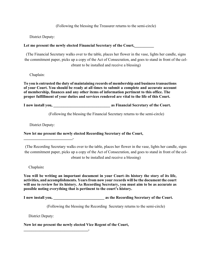(Following the blessing the Treasurer returns to the semi-circle)

District Deputy:

# **Let me present the newly elected Financial Secretary of the Court,\_\_\_\_\_\_\_\_\_\_**

(The Financial Secretary walks over to the table, places her flower in the vase, lights her candle, signs the commitment paper, picks up a copy of the Act of Consecration, and goes to stand in front of the celebrant to be installed and receive a blessing)

Chaplain:

**To you is entrusted the duty of maintaining records of membership and businesstransactions of your Court. You should be ready at all times to submit a complete and accurate account of membership, finances and any other items of information pertinent to this office. The proper fulfillment of your duties and services rendered are vital to the life of this Court.**

**I now install you, \_\_\_\_\_\_\_\_\_\_\_\_\_\_\_\_\_\_\_\_\_\_\_\_\_\_\_\_\_ as Financial Secretary of the Court.**

(Following the blessing the Financial Secretary returns to the semi-circle)

District Deputy:

**\_\_\_\_\_\_\_\_\_\_\_\_\_\_\_\_\_\_\_\_\_\_\_\_\_.**

**Now let me present the newly elected Recording Secretary of the Court,**

(The Recording Secretary walks over to the table, places her flower in the vase, lights her candle, signs the commitment paper, picks up a copy of the Act of Consecration, and goes to stand in front of the celebrant to be installed and receive a blessing)

Chaplain**:**

**You will be writing an important document in your Court–its history the story of its life, activities, and accomplishments. Yearsfrom now your records will be the document the court will use to review for its history. As Recording Secretary, you must aim to be as accurate as possible noting everything that is pertinent to the court's history.**

**I now install you, \_\_\_\_\_\_\_\_\_\_\_\_\_\_\_\_\_\_\_\_\_\_\_\_\_\_ as the Recording Secretary of the Court.**

(Following the blessing the Recording Secretary returns to the semi-circle)

District Deputy:

**\_\_\_\_\_\_\_\_\_\_\_\_\_\_\_\_\_\_\_\_\_\_\_\_\_\_\_\_\_\_\_\_\_.**

**Now let me present the newly elected Vice Regent of the Court,**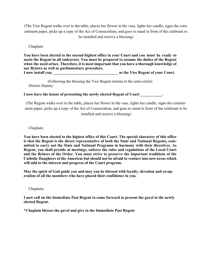(The Vice Regent walks over to the table, places her flower in the vase, lights her candle, signs the commitment paper, picks up a copy of the Act of Consecration, and goes to stand in front of the celebrant to be installed and receive a blessing)

Chaplain:

**You have been elected to the second highest office in your Court and you must be ready to assist the Regent in all endeavors. You must be prepared to assume the duties of the Regent when the need arises. Therefore, it is most important that you have a thorough knowledge of our Bylaws as well as parliamentary procedure. I now install you, \_\_\_\_\_\_\_\_\_\_\_\_\_\_\_\_\_\_\_\_\_\_\_\_\_\_\_\_\_\_\_\_\_ as the Vice Regent of your Court.**

(Following the blessing the Vice Regent returns to the semi-circle) District Deputy:

**I now have the honor of presenting the newly elected Regent of Court \_\_\_\_\_\_\_\_\_\_\_.**

(The Regent walks over to the table, places her flower in the vase, lights her candle, signs the commitment paper, picks up a copy of the Act of Consecration, and goes to stand in front of the celebrant to be installed and receive a blessing)

Chaplain:

**You have been elected to the highest office of this Court. The special character of this office is that the Regent is the direct representative of both the State and National Regents, committed to carry out the State and National Programs in harmony with their directives. As Regent, you shall preside at meetings, enforce the rules and regulations of the Local Court and the Bylaws of the Order. You must strive to preserve the important traditions of the Catholic Daughters of the Americas but should not be afraid to venture into new areas which will add to the interest and progress of the Court program.**

**May the spirit of God guide you and may you be blessed with loyalty, devotion and co-operation of all the members who have placed their confidence in you.**

Chaplain*:*

**I now call on the Immediate Past Regent to come forward to present the gavel to the newly elected Regent.**

**\*Chaplain blesses the gavel and give to the Immediate Past Regent**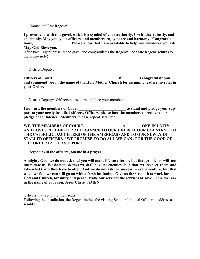#### Immediate Past Regent:

**I present you with this gavel, which is a symbol of your authority. Use it wisely, justly, and charitably. May you, your officers, and members enjoy peace and harmony. Congratulations, \_\_\_\_\_\_\_\_\_\_\_\_\_\_\_\_\_\_. Please know that I am available to help you whenever you ask. May God Bless you.**

After Past Regent presents the gavel and congratulates the Regent: The State Regent returns to the semi-circle)

District Deputy:

**Officers of Court \_\_\_\_\_\_\_\_\_\_\_\_\_\_\_\_\_\_\_\_\_\_\_\_\_\_\_\_\_\_\_\_\_ # \_\_\_\_\_\_\_\_, I congratulate you and commend you in the name of the Holy Mother Church for assuming leadership roles in your Order.**

District Deputy: Officers please turn and face your members.

**I now ask the members of Court \_\_\_\_\_\_\_\_\_\_\_\_\_\_\_\_\_\_\_\_\_\_\_\_ to stand and pledge your support to your newly installed officers. Officers, please face the members to receive their pledge of confidence. Members, please repeat after me:**

**WE, THE MEMBERS OF COURT, \_\_\_\_\_\_\_\_\_\_\_\_\_\_\_\_\_\_\_ #\_\_\_\_\_\_\_\_ ONE IN UNITY AND LOVE / PLEDGE OUR ALLEGIANCE TO OUR CHURCH, OUR COUNTRY, / TO THE CATHOLIC DAUGHTERS OF THE AMERICAS / AND TO OUR NEWLY IN-STALLED OFFICERS. / WE PROMISE TO DO ALL WE CAN / FOR THE GOOD OF THE ORDER BY OUR SUPPORT.**

Regent: **Will the officers join me in a prayer.**

**Almighty God, we do not ask that you will make life easy for us, but that problems will not intimidate us. We do not ask that we shall have no enemies, but that we respect them and** take what truth they have to offer. And we do not ask for success in every venture, but that **when we fail, we can still go on with a fresh beginning. Give us the strength to work for God and Church, for unity and peace. Make our services the services of love. This we ask in the name of your son, Jesus Christ. AMEN.**

Officers may return to their seats.

Following the installation, the Regent invites the visiting State or National Officer to address assembly.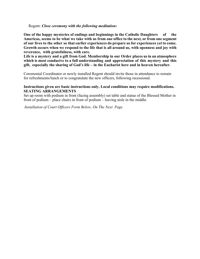#### Regent: Close ceremony with the following meditation:

**One of the happy mysteries of endings and beginnings in the Catholic Daughters of the Americas, seems to be what we take with us from one office to the next, or from one segment of our lives to the other so that earlier experiences do prepare us for experiences yet to come. Growth occurs when we respond to the life that is all around us, with openness and joy with reverence, with gratefulness, with care.** 

 **Life is a mystery and a gift from God. Membership in our Order places us in an atmosphere which is most conducive to a full understanding and appreciation of this mystery and this gift, especially the sharing of God's life – in the Eucharist here and in heaven hereafter.** 

Ceremonial Coordinator or newly installed Regent should invite those in attendance to remain for refreshments/lunch or to congratulate the new officers, following recessional.

#### **Instructions given are basic instructions only. Local conditions may require modifications. SEATING ARRANGEMENTS**

Set up room with podium in front (facing assembly) set table and statue of the Blessed Mother in front of podium – place chairs in front of podium – leaving aisle in the middle.

*Installation of Court Officers Form Below, On The Next Page*